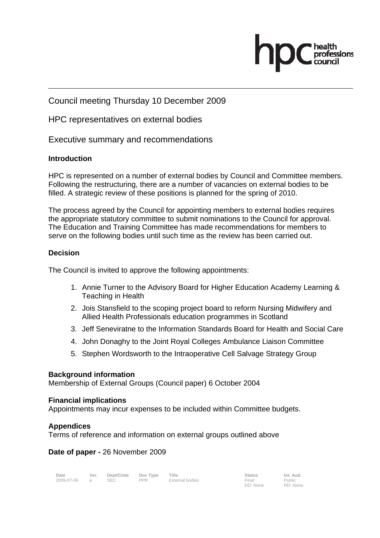Council meeting Thursday 10 December 2009

HPC representatives on external bodies

Executive summary and recommendations

# **Introduction**

HPC is represented on a number of external bodies by Council and Committee members. Following the restructuring, there are a number of vacancies on external bodies to be filled. A strategic review of these positions is planned for the spring of 2010.

The process agreed by the Council for appointing members to external bodies requires the appropriate statutory committee to submit nominations to the Council for approval. The Education and Training Committee has made recommendations for members to serve on the following bodies until such time as the review has been carried out.

# **Decision**

The Council is invited to approve the following appointments:

- 1. Annie Turner to the Advisory Board for Higher Education Academy Learning & Teaching in Health
- 2. Jois Stansfield to the scoping project board to reform Nursing Midwifery and Allied Health Professionals education programmes in Scotland
- 3. Jeff Seneviratne to the Information Standards Board for Health and Social Care
- 4. John Donaghy to the Joint Royal Colleges Ambulance Liaison Committee
- 5. Stephen Wordsworth to the Intraoperative Cell Salvage Strategy Group

# **Background information**

Membership of External Groups (Council paper) 6 October 2004

# **Financial implications**

Appointments may incur expenses to be included within Committee budgets.

# **Appendices**

Terms of reference and information on external groups outlined above

# **Date of paper -** 26 November 2009

| Date         | Ver. Dept/Cmte Doc Type Title |     |                 | <b>Status</b> | Int. Aud. |
|--------------|-------------------------------|-----|-----------------|---------------|-----------|
| 2009-07-06 a | <b>SEC</b>                    | PPR | External bodies | Final         | Public    |

Final<br>DD: None

Public RD: None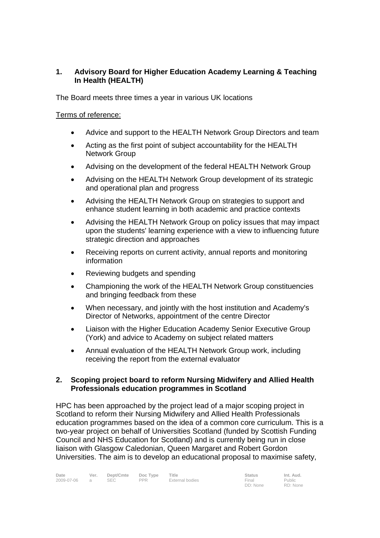# **1. Advisory Board for Higher Education Academy Learning & Teaching In Health (HEALTH)**

The Board meets three times a year in various UK locations

#### Terms of reference:

- Advice and support to the HEALTH Network Group Directors and team
- Acting as the first point of subject accountability for the HEALTH Network Group
- Advising on the development of the federal HEALTH Network Group
- Advising on the HEALTH Network Group development of its strategic and operational plan and progress
- Advising the HEALTH Network Group on strategies to support and enhance student learning in both academic and practice contexts
- Advising the HEALTH Network Group on policy issues that may impact upon the students' learning experience with a view to influencing future strategic direction and approaches
- Receiving reports on current activity, annual reports and monitoring information
- Reviewing budgets and spending
- Championing the work of the HEALTH Network Group constituencies and bringing feedback from these
- When necessary, and jointly with the host institution and Academy's Director of Networks, appointment of the centre Director
- Liaison with the Higher Education Academy Senior Executive Group (York) and advice to Academy on subject related matters
- Annual evaluation of the HEALTH Network Group work, including receiving the report from the external evaluator

#### **2. Scoping project board to reform Nursing Midwifery and Allied Health Professionals education programmes in Scotland**

HPC has been approached by the project lead of a major scoping project in Scotland to reform their Nursing Midwifery and Allied Health Professionals education programmes based on the idea of a common core curriculum. This is a two-year project on behalf of Universities Scotland (funded by Scottish Funding Council and NHS Education for Scotland) and is currently being run in close liaison with Glasgow Caledonian, Queen Margaret and Robert Gordon Universities. The aim is to develop an educational proposal to maximise safety,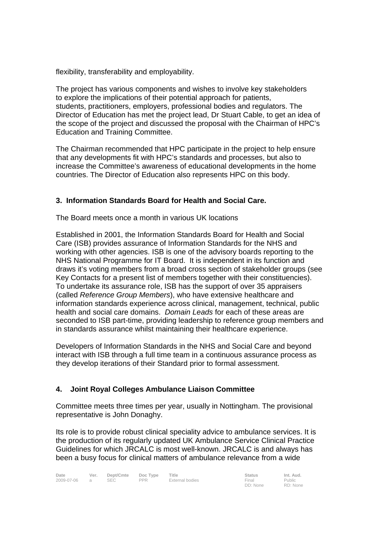flexibility, transferability and employability.

The project has various components and wishes to involve key stakeholders to explore the implications of their potential approach for patients, students, practitioners, employers, professional bodies and regulators. The Director of Education has met the project lead, Dr Stuart Cable, to get an idea of the scope of the project and discussed the proposal with the Chairman of HPC's Education and Training Committee.

The Chairman recommended that HPC participate in the project to help ensure that any developments fit with HPC's standards and processes, but also to increase the Committee's awareness of educational developments in the home countries. The Director of Education also represents HPC on this body.

# **3. Information Standards Board for Health and Social Care.**

The Board meets once a month in various UK locations

Established in 2001, the Information Standards Board for Health and Social Care (ISB) provides assurance of Information Standards for the NHS and working with other agencies. ISB is one of the advisory boards reporting to the NHS National Programme for IT Board. It is independent in its function and draws it's voting members from a broad cross section of stakeholder groups (see Key Contacts for a present list of members together with their constituencies). To undertake its assurance role, ISB has the support of over 35 appraisers (called *Reference Group Members*), who have extensive healthcare and information standards experience across clinical, management, technical, public health and social care domains. *Domain Leads* for each of these areas are seconded to ISB part-time, providing leadership to reference group members and in standards assurance whilst maintaining their healthcare experience.

Developers of Information Standards in the NHS and Social Care and beyond interact with ISB through a full time team in a continuous assurance process as they develop iterations of their Standard prior to formal assessment.

# **4. Joint Royal Colleges Ambulance Liaison Committee**

Committee meets three times per year, usually in Nottingham. The provisional representative is John Donaghy.

Its role is to provide robust clinical speciality advice to ambulance services. It is the production of its regularly updated UK Ambulance Service Clinical Practice Guidelines for which JRCALC is most well-known. JRCALC is and always has been a busy focus for clinical matters of ambulance relevance from a wide

DD: None Public RD: None